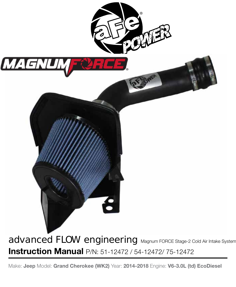

**Instruction Manual** P/N: 51-12472 / 54-12472/ 75-12472

Make: **Jeep** Model: **Grand Cherokee (WK2)** Year: **2014-2018** Engine: **V6-3.0L (td) EcoDiesel**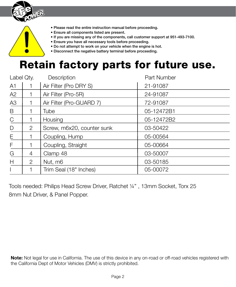

- Please read the entire instruction manual before proceeding.
- Ensure all components listed are present.
- If you are missing any of the components, call customer support at 951-493-7100.
- Ensure you have all necessary tools before proceeding.
- Do not attempt to work on your vehicle when the engine is hot.
- Disconnect the negative battery terminal before proceeding.

# Retain factory parts for future use.

| Label Qty.     |                | Description                | Part Number |
|----------------|----------------|----------------------------|-------------|
| A1             |                | Air Filter (Pro DRY S)     | 21-91087    |
| A2             |                | Air Filter (Pro-5R)        | 24-91087    |
| A <sub>3</sub> |                | Air Filter (Pro-GUARD 7)   | 72-91087    |
| B              |                | Tube                       | 05-12472B1  |
| $\mathsf{C}$   |                | Housing                    | 05-12472B2  |
| D              | 2              | Screw, m6x20, counter sunk | 03-50422    |
| E              |                | Coupling, Hump             | 05-00564    |
| F              |                | Coupling, Straight         | 05-00664    |
| G              | $\overline{4}$ | Clamp 48                   | 03-50007    |
| H              | 2              | Nut, m6                    | 03-50185    |
|                |                | Trim Seal (18" Inches)     | 05-00072    |

Tools needed: Philips Head Screw Driver, Ratchet ¼" , 13mm Socket, Torx 25 8mm Nut Driver, & Panel Popper.

**Note:** Not legal for use in California. The use of this device in any on-road or off-road vehicles registered with the California Dept of Motor Vehicles (DMV) is strictly prohibited.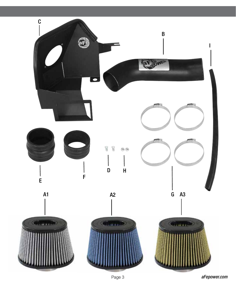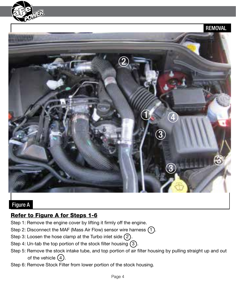



#### Figure A

### Refer to Figure A for Steps 1-6

- Step 1: Remove the engine cover by lifting it firmly off the engine.
- Step 2: Disconnect the MAF (Mass Air Flow) sensor wire harness  $(1)$ .
- Step 3: Loosen the hose clamp at the Turbo inlet side  $(2)$ .
- Step 4: Un-tab the top portion of the stock filter housing  $(3)$ .
- Step 5: Remove the stock intake tube, and top portion of air filter housing by pulling straight up and out of the vehicle  $(4)$ .
- Step 6: Remove Stock Filter from lower portion of the stock housing.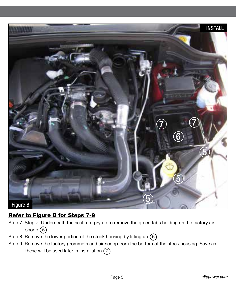

# Refer to Figure B for Steps 7-9

- Step 7: Step 7: Underneath the seal trim pry up to remove the green tabs holding on the factory air scoop $(5)$ .
- Step 8: Remove the lower portion of the stock housing by lifting up  $(6)$ .
- Step 9: Remove the factory grommets and air scoop from the bottom of the stock housing. Save as these will be used later in installation  $(7)$ .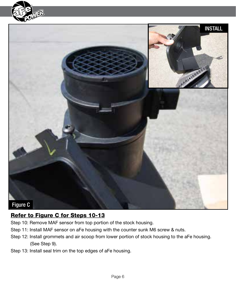



### Refer to Figure C for Steps 10-13

- Step 10: Remove MAF sensor from top portion of the stock housing.
- Step 11: Install MAF sensor on aFe housing with the counter sunk M6 screw & nuts.
- Step 12: Install grommets and air scoop from lower portion of stock housing to the aFe housing. (See Step 9).
- Step 13: Install seal trim on the top edges of aFe housing.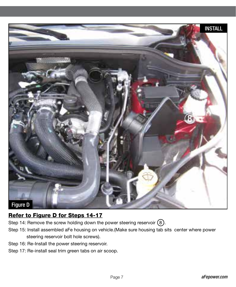

# Refer to Figure D for Steps 14-17

- Step 14: Remove the screw holding down the power steering reservoir  $(8)$ .
- Step 15: Install assembled aFe housing on vehicle.(Make sure housing tab sits center where power steering reservoir bolt hole screws).
- Step 16: Re-Install the power steering reservoir.
- Step 17: Re-install seal trim green tabs on air scoop.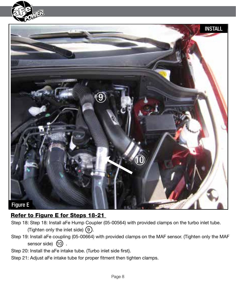



# Refer to Figure E for Steps 18-21

- Step 18: Step 18: Install aFe Hump Coupler (05-00564) with provided clamps on the turbo inlet tube. (Tighten only the inlet side)  $(9)$ .
- Step 19: Install aFe coupling (05-00664) with provided clamps on the MAF sensor. (Tighten only the MAF sensor side)  $(10)$ .
- Step 20: Install the aFe intake tube. (Turbo inlet side first).
- Step 21: Adjust aFe intake tube for proper fitment then tighten clamps.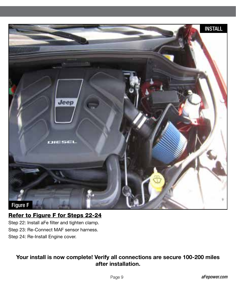

# Refer to Figure F for Steps 22-24

Step 22: Install aFe filter and tighten clamp. Step 23: Re-Connect MAF sensor harness. Step 24: Re-Install Engine cover.

#### **Your install is now complete! Verify all connections are secure 100-200 miles after installation.**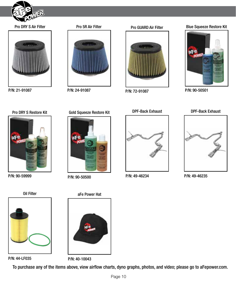

#### Pro DRY S Air Filter



P/N: 21-91087



#### Pro GUARD Air Filter



P/N: 24-91087 P/N: 90-50501 P/N: 72-91087

#### Blue Squeeze Restore Kit



Pro DRY S Restore Kit



P/N: 90-59999



P/N: 90-50500



P/N: 44-LF035



P/N: 40-10043

To purchase any of the items above, view airflow charts, dyno graphs, photos, and video; please go to aFepower.com.

#### Gold Squeeze Restore Kit



DPF-Back Exhaust

DPF-Back Exhaust

P/N: 49-46234



P/N: 49-46235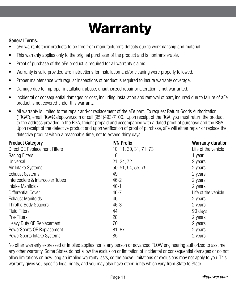# **Warranty**

#### General Terms:

- aFe warrants their products to be free from manufacturer's defects due to workmanship and material.
- This warranty applies only to the original purchaser of the product and is nontransferable.
- Proof of purchase of the aFe product is required for all warranty claims.
- Warranty is valid provided aFe instructions for installation and/or cleaning were properly followed.
- Proper maintenance with regular inspections of product is required to insure warranty coverage.
- Damage due to improper installation, abuse, unauthorized repair or alteration is not warranted.
- Incidental or consequential damages or cost, including installation and removal of part, incurred due to failure of aFe product is not covered under this warranty.
- All warranty is limited to the repair and/or replacement of the aFe part. To request Return Goods Authorization ("RGA"), email RGA@afepower.com or call (951)493-7100. Upon receipt of the RGA, you must return the product to the address provided in the RGA, freight prepaid and accompanied with a dated proof of purchase and the RGA. Upon receipt of the defective product and upon verification of proof of purchase, aFe will either repair or replace the defective product within a reasonable time, not to exceed thirty days.

| <b>Product Category</b>          | <b>P/N Prefix</b>      | <b>Warranty duration</b> |
|----------------------------------|------------------------|--------------------------|
| Direct OE Replacement Filters    | 10, 11, 30, 31, 71, 73 | Life of the vehicle      |
| <b>Racing Filters</b>            | 18                     | 1 year                   |
| Universal                        | 21, 24, 72             | 2 years                  |
| Air Intake Systems               | 50, 51, 54, 55, 75     | 2 years                  |
| <b>Exhaust Systems</b>           | 49                     | 2 years                  |
| Intercoolers & Intercooler Tubes | $46 - 2$               | 2 years                  |
| Intake Manifolds                 | $46-1$                 | 2 years                  |
| <b>Differential Cover</b>        | $46 - 7$               | Life of the vehicle      |
| <b>Exhaust Manifolds</b>         | 46                     | 2 years                  |
| Throttle Body Spacers            | $46 - 3$               | 2 years                  |
| <b>Fluid Filters</b>             | 44                     | 90 days                  |
| Pre-Filters                      | 28                     | 2 years                  |
| Heavy Duty OE Replacement        | 70                     | 2 years                  |
| PowerSports OE Replacement       | 81, 87                 | 2 years                  |
| PowerSports Intake Systems       | 85                     | 2 years                  |

No other warranty expressed or implied applies nor is any person or advanced FLOW engineering authorized to assume any other warranty. Some States do not allow the exclusion or limitation of incidental or consequential damages or do not allow limitations on how long an implied warranty lasts, so the above limitations or exclusions may not apply to you. This warranty gives you specific legal rights, and you may also have other rights which vary from State to State.